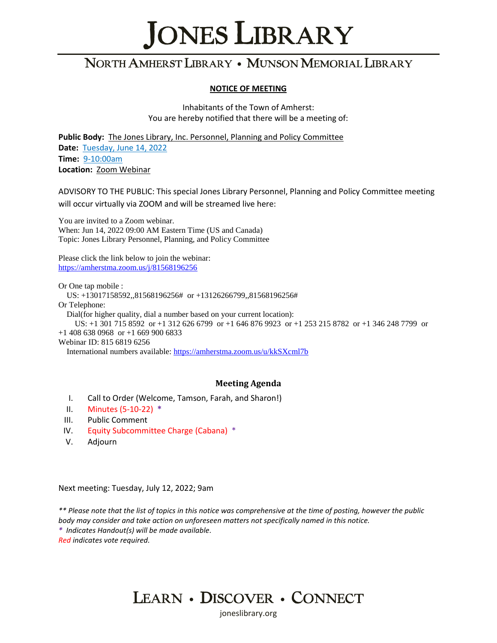# **JONES LIBRARY**

# NORTH AMHERST LIBRARY . MUNSON MEMORIAL LIBRARY

#### **NOTICE OF MEETING**

Inhabitants of the Town of Amherst: You are hereby notified that there will be a meeting of:

**Public Body:** The Jones Library, Inc. Personnel, Planning and Policy Committee **Date:** Tuesday, June 14, 2022 **Time:** 9-10:00am **Location:** Zoom Webinar

ADVISORY TO THE PUBLIC: This special Jones Library Personnel, Planning and Policy Committee meeting will occur virtually via ZOOM and will be streamed live here:

You are invited to a Zoom webinar. When: Jun 14, 2022 09:00 AM Eastern Time (US and Canada) Topic: Jones Library Personnel, Planning, and Policy Committee

Please click the link below to join the webinar: [https://amherstma.zoom.us/j/81568196256](https://nam04.safelinks.protection.outlook.com/?url=https%3A%2F%2Famherstma.zoom.us%2Fj%2F81568196256&data=05%7C01%7Csharrys%40joneslibrary.org%7Cec4599ef48ee4fbed4ef08da4884669c%7C5817fd9a09da4a03a3a2e680501e2c52%7C0%7C0%7C637902030761025720%7CUnknown%7CTWFpbGZsb3d8eyJWIjoiMC4wLjAwMDAiLCJQIjoiV2luMzIiLCJBTiI6Ik1haWwiLCJXVCI6Mn0%3D%7C3000%7C%7C%7C&sdata=hj%2BiaruI9SITcz8OOOTCbZ0vaoTHwHLs%2BCuVEF8HP08%3D&reserved=0)

Or One tap mobile :

US: +13017158592,,81568196256# or +13126266799,,81568196256#

Or Telephone:

Dial(for higher quality, dial a number based on your current location):

 US: +1 301 715 8592 or +1 312 626 6799 or +1 646 876 9923 or +1 253 215 8782 or +1 346 248 7799 or +1 408 638 0968 or +1 669 900 6833

Webinar ID: 815 6819 6256

International numbers available:<https://amherstma.zoom.us/u/kkSXcml7b>

### **Meeting Agenda**

- I. Call to Order (Welcome, Tamson, Farah, and Sharon!)
- II. Minutes (5-10-22) **\***
- III. Public Comment
- IV. Equity Subcommittee Charge (Cabana) \*
- V. Adjourn

Next meeting: Tuesday, July 12, 2022; 9am

*\*\* Please note that the list of topics in this notice was comprehensive at the time of posting, however the public body may consider and take action on unforeseen matters not specifically named in this notice. \* Indicates Handout(s) will be made available.* 

*Red indicates vote required.*



ioneslibrary.org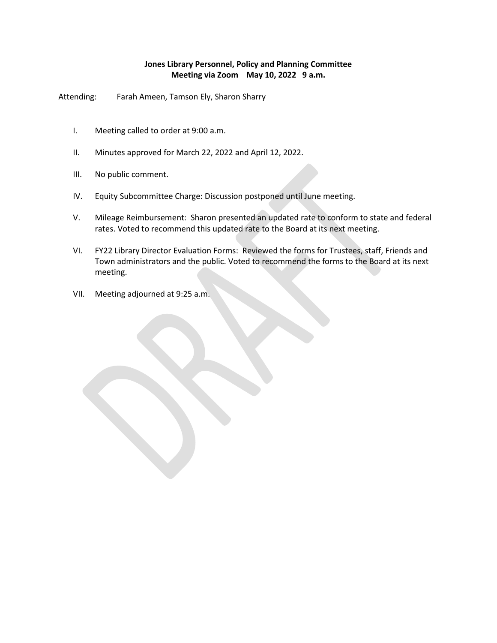### **Jones Library Personnel, Policy and Planning Committee Meeting via Zoom May 10, 2022 9 a.m.**

Attending: Farah Ameen, Tamson Ely, Sharon Sharry

- I. Meeting called to order at 9:00 a.m.
- II. Minutes approved for March 22, 2022 and April 12, 2022.
- III. No public comment.
- IV. Equity Subcommittee Charge: Discussion postponed until June meeting.
- V. Mileage Reimbursement: Sharon presented an updated rate to conform to state and federal rates. Voted to recommend this updated rate to the Board at its next meeting.
- VI. FY22 Library Director Evaluation Forms: Reviewed the forms for Trustees, staff, Friends and Town administrators and the public. Voted to recommend the forms to the Board at its next meeting.
- VII. Meeting adjourned at 9:25 a.m.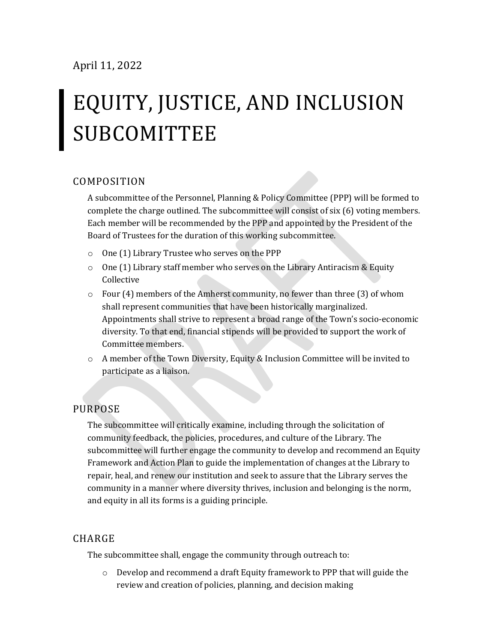# EQUITY, JUSTICE, AND INCLUSION **SUBCOMITTEE**

### COMPOSITION

A subcommittee of the Personnel, Planning & Policy Committee (PPP) will be formed to complete the charge outlined. The subcommittee will consist of six (6) voting members. Each member will be recommended by the PPP and appointed by the President of the Board of Trustees for the duration of this working subcommittee.

- o One (1) Library Trustee who serves on the PPP
- $\circ$  One (1) Library staff member who serves on the Library Antiracism & Equity Collective
- o Four (4) members of the Amherst community, no fewer than three (3) of whom shall represent communities that have been historically marginalized. Appointments shall strive to represent a broad range of the Town's socio-economic diversity. To that end, financial stipends will be provided to support the work of Committee members.
- o A member of the Town Diversity, Equity & Inclusion Committee will be invited to participate as a liaison.

## PURPOSE

The subcommittee will critically examine, including through the solicitation of community feedback, the policies, procedures, and culture of the Library. The subcommittee will further engage the community to develop and recommend an Equity Framework and Action Plan to guide the implementation of changes at the Library to repair, heal, and renew our institution and seek to assure that the Library serves the community in a manner where diversity thrives, inclusion and belonging is the norm, and equity in all its forms is a guiding principle.

### CHARGE

The subcommittee shall, engage the community through outreach to:

 $\circ$  Develop and recommend a draft Equity framework to PPP that will guide the review and creation of policies, planning, and decision making